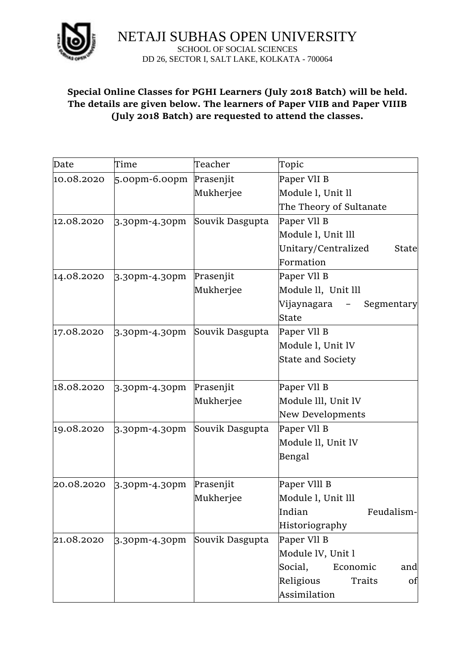

NETAJI SUBHAS OPEN UNIVERSITY SCHOOL OF SOCIAL SCIENCES DD 26, SECTOR I, SALT LAKE, KOLKATA - 700064

## **Special Online Classes for PGHI Learners (July 2018 Batch) will be held. The details are given below. The learners of Paper VIIB and Paper VIIIB (July 2018 Batch) are requested to attend the classes.**

| Date       | Time             | Teacher         | Topic                                |
|------------|------------------|-----------------|--------------------------------------|
| 10.08.2020 | $5.00$ pm-6.00pm | Prasenjit       | Paper VII B                          |
|            |                  | Mukherjee       | Module l, Unit ll                    |
|            |                  |                 | The Theory of Sultanate              |
| 12.08.2020 | 3.30pm-4.30pm    | Souvik Dasgupta | Paper Vll B                          |
|            |                  |                 | Module I, Unit III                   |
|            |                  |                 | Unitary/Centralized<br>State         |
|            |                  |                 | Formation                            |
| 14.08.2020 | 3.30pm-4.30pm    | Prasenjit       | Paper Vll B                          |
|            |                  | Mukherjee       | Module ll, Unit lll                  |
|            |                  |                 | Vijaynagara<br>Segmentary            |
|            |                  |                 | <b>State</b>                         |
| 17.08.2020 | 3.30pm-4.30pm    | Souvik Dasgupta | Paper Vll B                          |
|            |                  |                 | Module l, Unit lV                    |
|            |                  |                 | <b>State and Society</b>             |
|            |                  |                 |                                      |
| 18.08.2020 | 3.30pm-4.30pm    | Prasenjit       | Paper VII B                          |
|            |                  | Mukherjee       | Module III, Unit IV                  |
|            |                  |                 | New Developments                     |
| 19.08.2020 | 3.30pm-4.30pm    | Souvik Dasgupta | Paper Vll B                          |
|            |                  |                 | Module II, Unit IV                   |
|            |                  |                 | Bengal                               |
|            |                  |                 |                                      |
| 20.08.2020 | 3.30pm-4.30pm    | Prasenjit       | Paper VIII B                         |
|            |                  | Mukherjee       | Module l, Unit lll                   |
|            |                  |                 | Indian<br>Feudalism-                 |
|            |                  |                 | Historiography                       |
| 21.08.2020 | 3.30pm-4.30pm    | Souvik Dasgupta | Paper VII B                          |
|            |                  |                 | Module IV, Unit l                    |
|            |                  |                 | Social,<br>Economic<br>and           |
|            |                  |                 | Religious<br>Traits<br><sub>of</sub> |
|            |                  |                 | <b>Assimilation</b>                  |